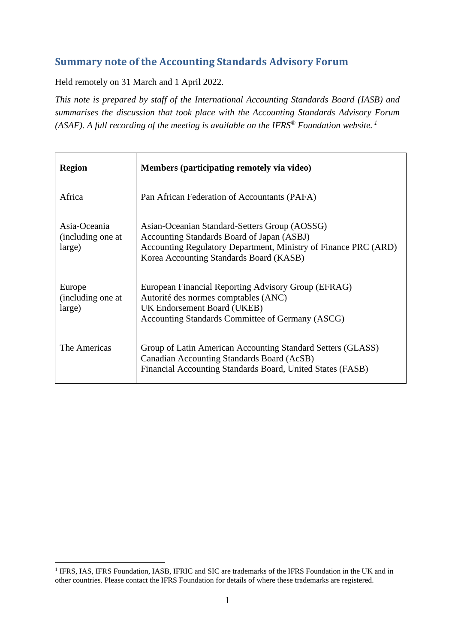# **Summary note of the Accounting Standards Advisory Forum**

Held remotely on 31 March and 1 April 2022.

*This note is prepared by staff of the International Accounting Standards Board (IASB) and summarises the discussion that took place with the Accounting Standards Advisory Forum (ASAF). A full recording of the meeting is available on the IFRS® Foundation website. 1*

| <b>Region</b>                               | Members (participating remotely via video)                                                                                                                                                                |
|---------------------------------------------|-----------------------------------------------------------------------------------------------------------------------------------------------------------------------------------------------------------|
| Africa                                      | Pan African Federation of Accountants (PAFA)                                                                                                                                                              |
| Asia-Oceania<br>(including one at<br>large) | Asian-Oceanian Standard-Setters Group (AOSSG)<br>Accounting Standards Board of Japan (ASBJ)<br>Accounting Regulatory Department, Ministry of Finance PRC (ARD)<br>Korea Accounting Standards Board (KASB) |
| Europe<br>(including one at<br>large)       | European Financial Reporting Advisory Group (EFRAG)<br>Autorité des normes comptables (ANC)<br>UK Endorsement Board (UKEB)<br>Accounting Standards Committee of Germany (ASCG)                            |
| The Americas                                | Group of Latin American Accounting Standard Setters (GLASS)<br>Canadian Accounting Standards Board (AcSB)<br>Financial Accounting Standards Board, United States (FASB)                                   |

<sup>&</sup>lt;sup>1</sup> IFRS, IAS, IFRS Foundation, IASB, IFRIC and SIC are trademarks of the IFRS Foundation in the UK and in other countries. Please contact the IFRS Foundation for details of where these trademarks are registered.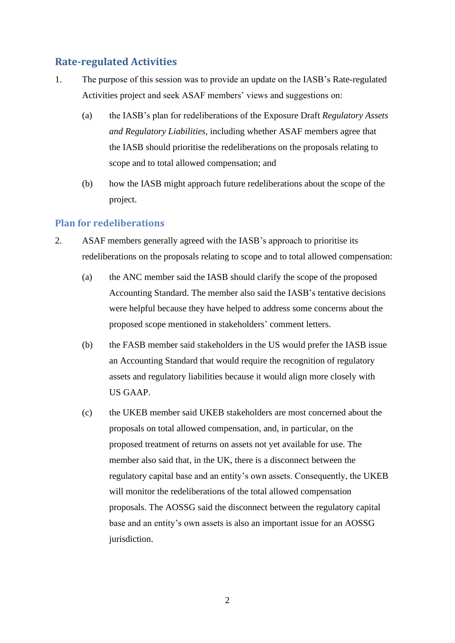# **Rate-regulated Activities**

- 1. The purpose of this session was to provide an update on the IASB's Rate-regulated Activities project and seek ASAF members' views and suggestions on:
	- (a) the IASB's plan for redeliberations of the Exposure Draft *Regulatory Assets and Regulatory Liabilities*, including whether ASAF members agree that the IASB should prioritise the redeliberations on the proposals relating to scope and to total allowed compensation; and
	- (b) how the IASB might approach future redeliberations about the scope of the project.

## **Plan for redeliberations**

- 2. ASAF members generally agreed with the IASB's approach to prioritise its redeliberations on the proposals relating to scope and to total allowed compensation:
	- (a) the ANC member said the IASB should clarify the scope of the proposed Accounting Standard. The member also said the IASB's tentative decisions were helpful because they have helped to address some concerns about the proposed scope mentioned in stakeholders' comment letters.
	- (b) the FASB member said stakeholders in the US would prefer the IASB issue an Accounting Standard that would require the recognition of regulatory assets and regulatory liabilities because it would align more closely with US GAAP.
	- (c) the UKEB member said UKEB stakeholders are most concerned about the proposals on total allowed compensation, and, in particular, on the proposed treatment of returns on assets not yet available for use. The member also said that, in the UK, there is a disconnect between the regulatory capital base and an entity's own assets. Consequently, the UKEB will monitor the redeliberations of the total allowed compensation proposals. The AOSSG said the disconnect between the regulatory capital base and an entity's own assets is also an important issue for an AOSSG jurisdiction.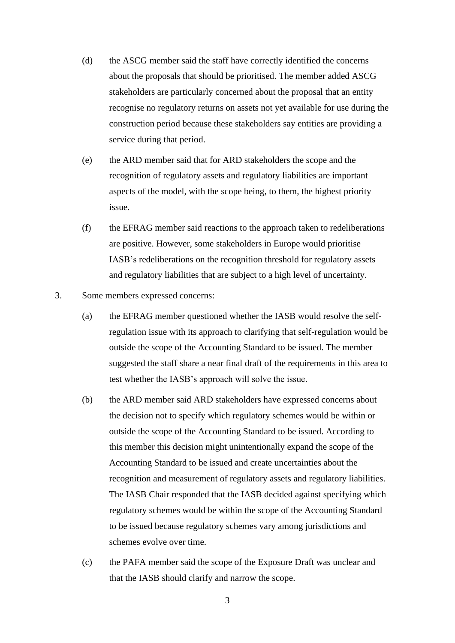- (d) the ASCG member said the staff have correctly identified the concerns about the proposals that should be prioritised. The member added ASCG stakeholders are particularly concerned about the proposal that an entity recognise no regulatory returns on assets not yet available for use during the construction period because these stakeholders say entities are providing a service during that period.
- (e) the ARD member said that for ARD stakeholders the scope and the recognition of regulatory assets and regulatory liabilities are important aspects of the model, with the scope being, to them, the highest priority issue.
- (f) the EFRAG member said reactions to the approach taken to redeliberations are positive. However, some stakeholders in Europe would prioritise IASB's redeliberations on the recognition threshold for regulatory assets and regulatory liabilities that are subject to a high level of uncertainty.
- 3. Some members expressed concerns:
	- (a) the EFRAG member questioned whether the IASB would resolve the selfregulation issue with its approach to clarifying that self-regulation would be outside the scope of the Accounting Standard to be issued. The member suggested the staff share a near final draft of the requirements in this area to test whether the IASB's approach will solve the issue.
	- (b) the ARD member said ARD stakeholders have expressed concerns about the decision not to specify which regulatory schemes would be within or outside the scope of the Accounting Standard to be issued. According to this member this decision might unintentionally expand the scope of the Accounting Standard to be issued and create uncertainties about the recognition and measurement of regulatory assets and regulatory liabilities. The IASB Chair responded that the IASB decided against specifying which regulatory schemes would be within the scope of the Accounting Standard to be issued because regulatory schemes vary among jurisdictions and schemes evolve over time.
	- (c) the PAFA member said the scope of the Exposure Draft was unclear and that the IASB should clarify and narrow the scope.
		- 3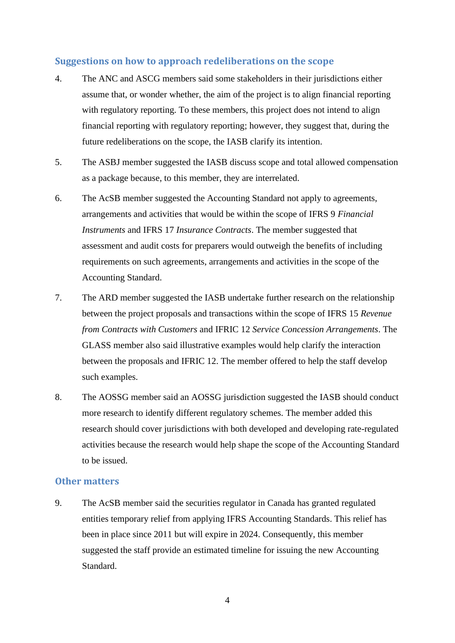## **Suggestions on how to approach redeliberations on the scope**

- 4. The ANC and ASCG members said some stakeholders in their jurisdictions either assume that, or wonder whether, the aim of the project is to align financial reporting with regulatory reporting. To these members, this project does not intend to align financial reporting with regulatory reporting; however, they suggest that, during the future redeliberations on the scope, the IASB clarify its intention.
- 5. The ASBJ member suggested the IASB discuss scope and total allowed compensation as a package because, to this member, they are interrelated.
- 6. The AcSB member suggested the Accounting Standard not apply to agreements, arrangements and activities that would be within the scope of IFRS 9 *Financial Instruments* and IFRS 17 *Insurance Contracts*. The member suggested that assessment and audit costs for preparers would outweigh the benefits of including requirements on such agreements, arrangements and activities in the scope of the Accounting Standard.
- 7. The ARD member suggested the IASB undertake further research on the relationship between the project proposals and transactions within the scope of IFRS 15 *Revenue from Contracts with Customers* and IFRIC 12 *Service Concession Arrangements*. The GLASS member also said illustrative examples would help clarify the interaction between the proposals and IFRIC 12. The member offered to help the staff develop such examples.
- 8. The AOSSG member said an AOSSG jurisdiction suggested the IASB should conduct more research to identify different regulatory schemes. The member added this research should cover jurisdictions with both developed and developing rate-regulated activities because the research would help shape the scope of the Accounting Standard to be issued.

## **Other matters**

9. The AcSB member said the securities regulator in Canada has granted regulated entities temporary relief from applying IFRS Accounting Standards. This relief has been in place since 2011 but will expire in 2024. Consequently, this member suggested the staff provide an estimated timeline for issuing the new Accounting Standard.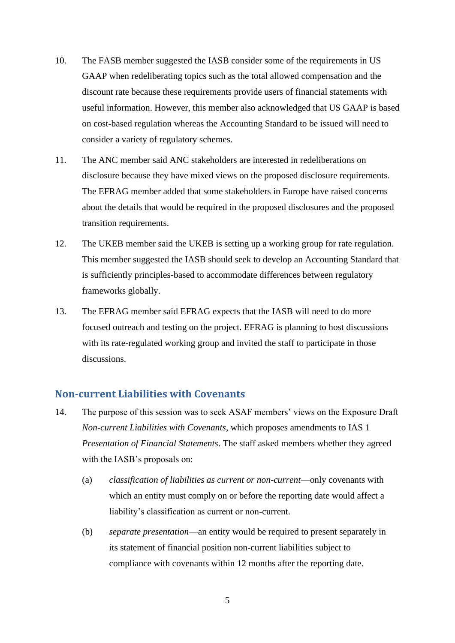- 10. The FASB member suggested the IASB consider some of the requirements in US GAAP when redeliberating topics such as the total allowed compensation and the discount rate because these requirements provide users of financial statements with useful information. However, this member also acknowledged that US GAAP is based on cost-based regulation whereas the Accounting Standard to be issued will need to consider a variety of regulatory schemes.
- 11. The ANC member said ANC stakeholders are interested in redeliberations on disclosure because they have mixed views on the proposed disclosure requirements. The EFRAG member added that some stakeholders in Europe have raised concerns about the details that would be required in the proposed disclosures and the proposed transition requirements.
- 12. The UKEB member said the UKEB is setting up a working group for rate regulation. This member suggested the IASB should seek to develop an Accounting Standard that is sufficiently principles-based to accommodate differences between regulatory frameworks globally.
- 13. The EFRAG member said EFRAG expects that the IASB will need to do more focused outreach and testing on the project. EFRAG is planning to host discussions with its rate-regulated working group and invited the staff to participate in those discussions.

## **Non-current Liabilities with Covenants**

- 14. The purpose of this session was to seek ASAF members' views on the Exposure Draft *Non-current Liabilities with Covenants*, which proposes amendments to IAS 1 *Presentation of Financial Statements*. The staff asked members whether they agreed with the IASB's proposals on:
	- (a) *classification of liabilities as current or non-current*—only covenants with which an entity must comply on or before the reporting date would affect a liability's classification as current or non-current.
	- (b) *separate presentation*—an entity would be required to present separately in its statement of financial position non-current liabilities subject to compliance with covenants within 12 months after the reporting date.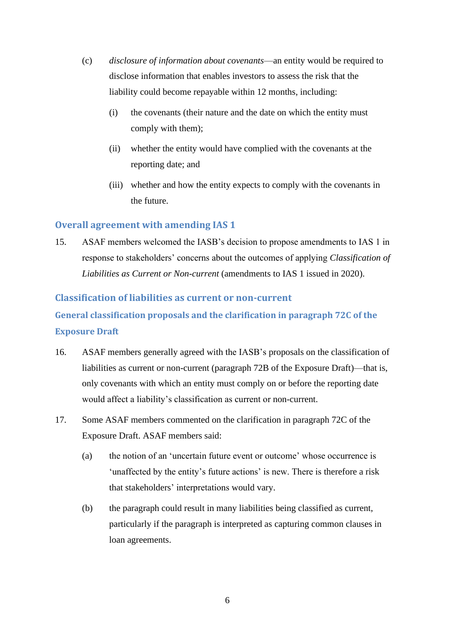- (c) *disclosure of information about covenants*—an entity would be required to disclose information that enables investors to assess the risk that the liability could become repayable within 12 months, including:
	- (i) the covenants (their nature and the date on which the entity must comply with them);
	- (ii) whether the entity would have complied with the covenants at the reporting date; and
	- (iii) whether and how the entity expects to comply with the covenants in the future.

## **Overall agreement with amending IAS 1**

15. ASAF members welcomed the IASB's decision to propose amendments to IAS 1 in response to stakeholders' concerns about the outcomes of applying *Classification of Liabilities as Current or Non-current* (amendments to IAS 1 issued in 2020).

## **Classification of liabilities as current or non-current**

**General classification proposals and the clarification in paragraph 72C of the Exposure Draft**

- 16. ASAF members generally agreed with the IASB's proposals on the classification of liabilities as current or non-current (paragraph 72B of the Exposure Draft)—that is, only covenants with which an entity must comply on or before the reporting date would affect a liability's classification as current or non-current.
- 17. Some ASAF members commented on the clarification in paragraph 72C of the Exposure Draft. ASAF members said:
	- (a) the notion of an 'uncertain future event or outcome' whose occurrence is 'unaffected by the entity's future actions' is new. There is therefore a risk that stakeholders' interpretations would vary.
	- (b) the paragraph could result in many liabilities being classified as current, particularly if the paragraph is interpreted as capturing common clauses in loan agreements.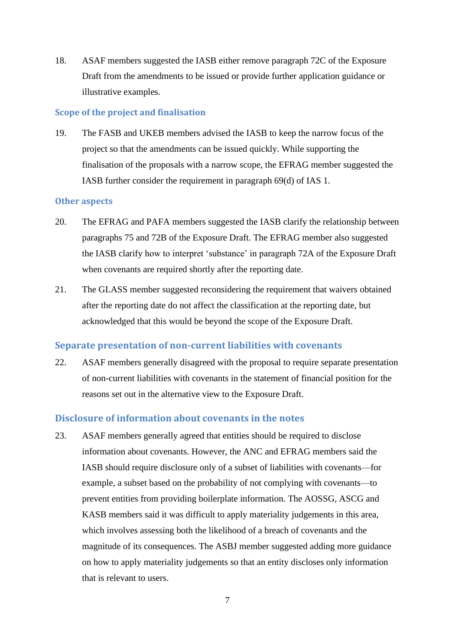18. ASAF members suggested the IASB either remove paragraph 72C of the Exposure Draft from the amendments to be issued or provide further application guidance or illustrative examples.

### **Scope of the project and finalisation**

19. The FASB and UKEB members advised the IASB to keep the narrow focus of the project so that the amendments can be issued quickly. While supporting the finalisation of the proposals with a narrow scope, the EFRAG member suggested the IASB further consider the requirement in paragraph 69(d) of IAS 1.

### **Other aspects**

- 20. The EFRAG and PAFA members suggested the IASB clarify the relationship between paragraphs 75 and 72B of the Exposure Draft. The EFRAG member also suggested the IASB clarify how to interpret 'substance' in paragraph 72A of the Exposure Draft when covenants are required shortly after the reporting date.
- 21. The GLASS member suggested reconsidering the requirement that waivers obtained after the reporting date do not affect the classification at the reporting date, but acknowledged that this would be beyond the scope of the Exposure Draft.

## **Separate presentation of non-current liabilities with covenants**

22. ASAF members generally disagreed with the proposal to require separate presentation of non-current liabilities with covenants in the statement of financial position for the reasons set out in the alternative view to the Exposure Draft.

## **Disclosure of information about covenants in the notes**

23. ASAF members generally agreed that entities should be required to disclose information about covenants. However, the ANC and EFRAG members said the IASB should require disclosure only of a subset of liabilities with covenants—for example, a subset based on the probability of not complying with covenants—to prevent entities from providing boilerplate information. The AOSSG, ASCG and KASB members said it was difficult to apply materiality judgements in this area, which involves assessing both the likelihood of a breach of covenants and the magnitude of its consequences. The ASBJ member suggested adding more guidance on how to apply materiality judgements so that an entity discloses only information that is relevant to users.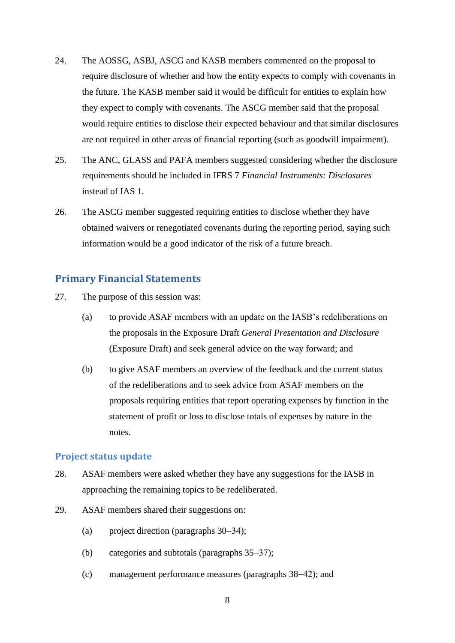- 24. The AOSSG, ASBJ, ASCG and KASB members commented on the proposal to require disclosure of whether and how the entity expects to comply with covenants in the future. The KASB member said it would be difficult for entities to explain how they expect to comply with covenants. The ASCG member said that the proposal would require entities to disclose their expected behaviour and that similar disclosures are not required in other areas of financial reporting (such as goodwill impairment).
- 25. The ANC, GLASS and PAFA members suggested considering whether the disclosure requirements should be included in IFRS 7 *Financial Instruments: Disclosures* instead of IAS 1.
- 26. The ASCG member suggested requiring entities to disclose whether they have obtained waivers or renegotiated covenants during the reporting period, saying such information would be a good indicator of the risk of a future breach.

## **Primary Financial Statements**

- 27. The purpose of this session was:
	- (a) to provide ASAF members with an update on the IASB's redeliberations on the proposals in the Exposure Draft *General Presentation and Disclosure* (Exposure Draft) and seek general advice on the way forward; and
	- (b) to give ASAF members an overview of the feedback and the current status of the redeliberations and to seek advice from ASAF members on the proposals requiring entities that report operating expenses by function in the statement of profit or loss to disclose totals of expenses by nature in the notes.

## **Project status update**

- 28. ASAF members were asked whether they have any suggestions for the IASB in approaching the remaining topics to be redeliberated.
- 29. ASAF members shared their suggestions on:
	- (a) project direction (paragraphs  $30-34$ );
	- (b) categories and subtotals (paragraphs  $35-37$ );
	- (c) management performance measures (paragraphs [38](#page-9-1)–42); and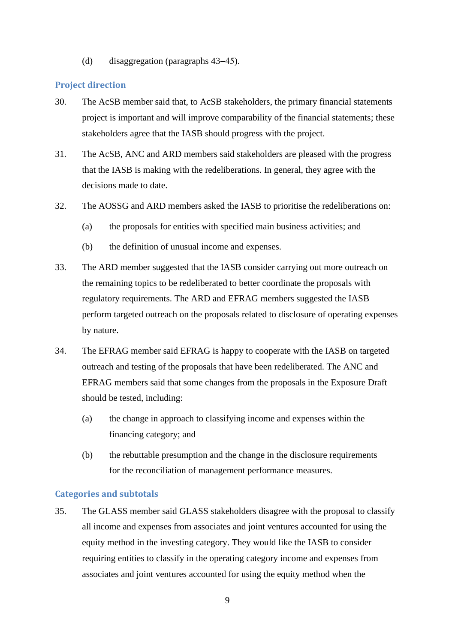(d) disaggregation (paragraphs [43](#page-10-1)–45).

### **Project direction**

- <span id="page-8-0"></span>30. The AcSB member said that, to AcSB stakeholders, the primary financial statements project is important and will improve comparability of the financial statements; these stakeholders agree that the IASB should progress with the project.
- 31. The AcSB, ANC and ARD members said stakeholders are pleased with the progress that the IASB is making with the redeliberations. In general, they agree with the decisions made to date.
- 32. The AOSSG and ARD members asked the IASB to prioritise the redeliberations on:
	- (a) the proposals for entities with specified main business activities; and
	- (b) the definition of unusual income and expenses.
- 33. The ARD member suggested that the IASB consider carrying out more outreach on the remaining topics to be redeliberated to better coordinate the proposals with regulatory requirements. The ARD and EFRAG members suggested the IASB perform targeted outreach on the proposals related to disclosure of operating expenses by nature.
- <span id="page-8-1"></span>34. The EFRAG member said EFRAG is happy to cooperate with the IASB on targeted outreach and testing of the proposals that have been redeliberated. The ANC and EFRAG members said that some changes from the proposals in the Exposure Draft should be tested, including:
	- (a) the change in approach to classifying income and expenses within the financing category; and
	- (b) the rebuttable presumption and the change in the disclosure requirements for the reconciliation of management performance measures.

#### **Categories and subtotals**

<span id="page-8-2"></span>35. The GLASS member said GLASS stakeholders disagree with the proposal to classify all income and expenses from associates and joint ventures accounted for using the equity method in the investing category. They would like the IASB to consider requiring entities to classify in the operating category income and expenses from associates and joint ventures accounted for using the equity method when the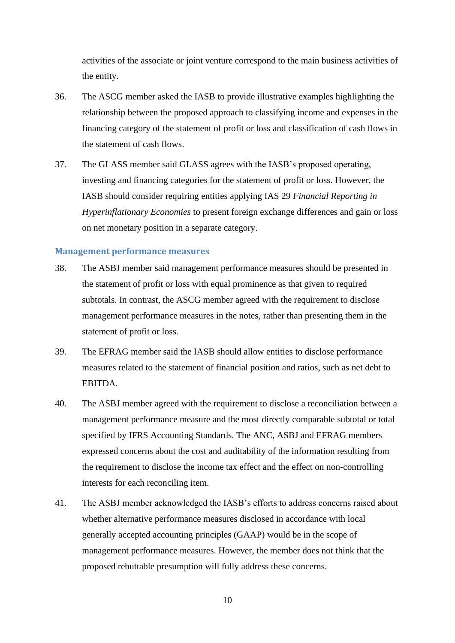activities of the associate or joint venture correspond to the main business activities of the entity.

- 36. The ASCG member asked the IASB to provide illustrative examples highlighting the relationship between the proposed approach to classifying income and expenses in the financing category of the statement of profit or loss and classification of cash flows in the statement of cash flows.
- <span id="page-9-0"></span>37. The GLASS member said GLASS agrees with the IASB's proposed operating, investing and financing categories for the statement of profit or loss. However, the IASB should consider requiring entities applying IAS 29 *Financial Reporting in Hyperinflationary Economies* to present foreign exchange differences and gain or loss on net monetary position in a separate category.

#### **Management performance measures**

- <span id="page-9-1"></span>38. The ASBJ member said management performance measures should be presented in the statement of profit or loss with equal prominence as that given to required subtotals. In contrast, the ASCG member agreed with the requirement to disclose management performance measures in the notes, rather than presenting them in the statement of profit or loss.
- 39. The EFRAG member said the IASB should allow entities to disclose performance measures related to the statement of financial position and ratios, such as net debt to EBITDA.
- 40. The ASBJ member agreed with the requirement to disclose a reconciliation between a management performance measure and the most directly comparable subtotal or total specified by IFRS Accounting Standards. The ANC, ASBJ and EFRAG members expressed concerns about the cost and auditability of the information resulting from the requirement to disclose the income tax effect and the effect on non-controlling interests for each reconciling item.
- 41. The ASBJ member acknowledged the IASB's efforts to address concerns raised about whether alternative performance measures disclosed in accordance with local generally accepted accounting principles (GAAP) would be in the scope of management performance measures. However, the member does not think that the proposed rebuttable presumption will fully address these concerns.

10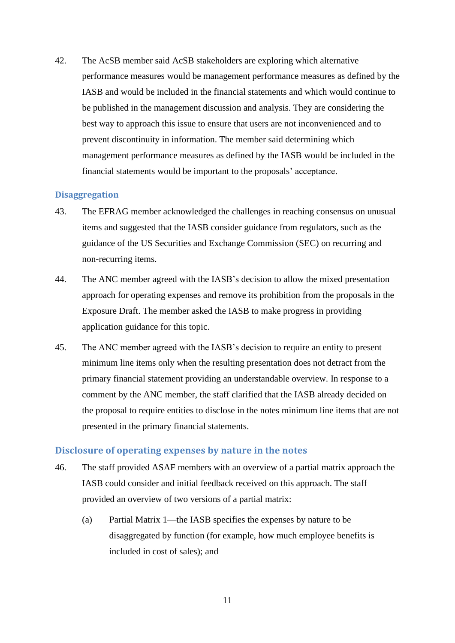<span id="page-10-0"></span>42. The AcSB member said AcSB stakeholders are exploring which alternative performance measures would be management performance measures as defined by the IASB and would be included in the financial statements and which would continue to be published in the management discussion and analysis. They are considering the best way to approach this issue to ensure that users are not inconvenienced and to prevent discontinuity in information. The member said determining which management performance measures as defined by the IASB would be included in the financial statements would be important to the proposals' acceptance.

## **Disaggregation**

- <span id="page-10-1"></span>43. The EFRAG member acknowledged the challenges in reaching consensus on unusual items and suggested that the IASB consider guidance from regulators, such as the guidance of the US Securities and Exchange Commission (SEC) on recurring and non-recurring items.
- 44. The ANC member agreed with the IASB's decision to allow the mixed presentation approach for operating expenses and remove its prohibition from the proposals in the Exposure Draft. The member asked the IASB to make progress in providing application guidance for this topic.
- <span id="page-10-2"></span>45. The ANC member agreed with the IASB's decision to require an entity to present minimum line items only when the resulting presentation does not detract from the primary financial statement providing an understandable overview. In response to a comment by the ANC member, the staff clarified that the IASB already decided on the proposal to require entities to disclose in the notes minimum line items that are not presented in the primary financial statements.

### **Disclosure of operating expenses by nature in the notes**

- 46. The staff provided ASAF members with an overview of a partial matrix approach the IASB could consider and initial feedback received on this approach. The staff provided an overview of two versions of a partial matrix:
	- (a) Partial Matrix 1—the IASB specifies the expenses by nature to be disaggregated by function (for example, how much employee benefits is included in cost of sales); and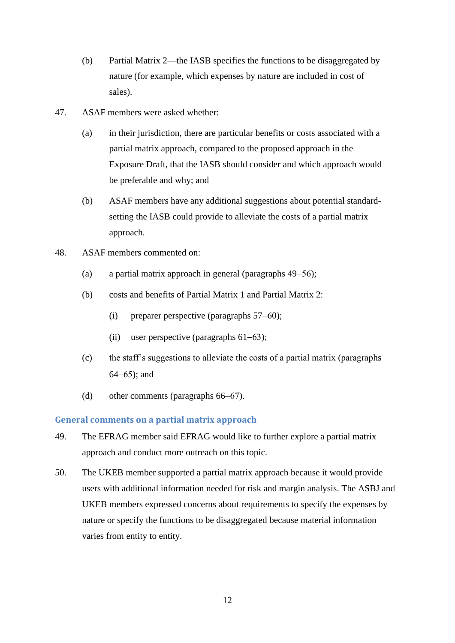- (b) Partial Matrix 2—the IASB specifies the functions to be disaggregated by nature (for example, which expenses by nature are included in cost of sales).
- 47. ASAF members were asked whether:
	- (a) in their jurisdiction, there are particular benefits or costs associated with a partial matrix approach, compared to the proposed approach in the Exposure Draft, that the IASB should consider and which approach would be preferable and why; and
	- (b) ASAF members have any additional suggestions about potential standardsetting the IASB could provide to alleviate the costs of a partial matrix approach.
- 48. ASAF members commented on:
	- (a) a partial matrix approach in general (paragraphs [49](#page-11-0)–56);
	- (b) costs and benefits of Partial Matrix 1 and Partial Matrix 2:
		- (i) preparer perspective (paragraphs  $57–60$ );
		- (ii) user perspective (paragraphs  $61-63$ );
	- (c) the staff's suggestions to alleviate the costs of a partial matrix (paragraphs  $64-65$  $64-65$ ; and
	- (d) other comments (paragraphs  $66-67$ ).

## **General comments on a partial matrix approach**

- <span id="page-11-0"></span>49. The EFRAG member said EFRAG would like to further explore a partial matrix approach and conduct more outreach on this topic.
- 50. The UKEB member supported a partial matrix approach because it would provide users with additional information needed for risk and margin analysis. The ASBJ and UKEB members expressed concerns about requirements to specify the expenses by nature or specify the functions to be disaggregated because material information varies from entity to entity.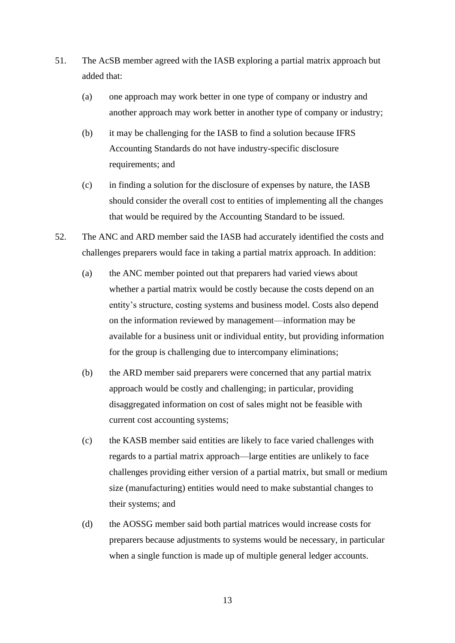- 51. The AcSB member agreed with the IASB exploring a partial matrix approach but added that:
	- (a) one approach may work better in one type of company or industry and another approach may work better in another type of company or industry;
	- (b) it may be challenging for the IASB to find a solution because IFRS Accounting Standards do not have industry-specific disclosure requirements; and
	- (c) in finding a solution for the disclosure of expenses by nature, the IASB should consider the overall cost to entities of implementing all the changes that would be required by the Accounting Standard to be issued.
- 52. The ANC and ARD member said the IASB had accurately identified the costs and challenges preparers would face in taking a partial matrix approach. In addition:
	- (a) the ANC member pointed out that preparers had varied views about whether a partial matrix would be costly because the costs depend on an entity's structure, costing systems and business model. Costs also depend on the information reviewed by management—information may be available for a business unit or individual entity, but providing information for the group is challenging due to intercompany eliminations;
	- (b) the ARD member said preparers were concerned that any partial matrix approach would be costly and challenging; in particular, providing disaggregated information on cost of sales might not be feasible with current cost accounting systems;
	- (c) the KASB member said entities are likely to face varied challenges with regards to a partial matrix approach—large entities are unlikely to face challenges providing either version of a partial matrix, but small or medium size (manufacturing) entities would need to make substantial changes to their systems; and
	- (d) the AOSSG member said both partial matrices would increase costs for preparers because adjustments to systems would be necessary, in particular when a single function is made up of multiple general ledger accounts.

13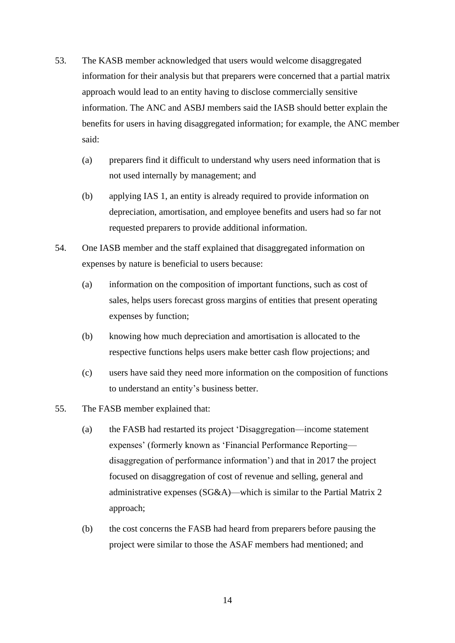- 53. The KASB member acknowledged that users would welcome disaggregated information for their analysis but that preparers were concerned that a partial matrix approach would lead to an entity having to disclose commercially sensitive information. The ANC and ASBJ members said the IASB should better explain the benefits for users in having disaggregated information; for example, the ANC member said:
	- (a) preparers find it difficult to understand why users need information that is not used internally by management; and
	- (b) applying IAS 1, an entity is already required to provide information on depreciation, amortisation, and employee benefits and users had so far not requested preparers to provide additional information.
- 54. One IASB member and the staff explained that disaggregated information on expenses by nature is beneficial to users because:
	- (a) information on the composition of important functions, such as cost of sales, helps users forecast gross margins of entities that present operating expenses by function;
	- (b) knowing how much depreciation and amortisation is allocated to the respective functions helps users make better cash flow projections; and
	- (c) users have said they need more information on the composition of functions to understand an entity's business better.
- 55. The FASB member explained that:
	- (a) the FASB had restarted its project 'Disaggregation—income statement expenses' (formerly known as 'Financial Performance Reporting disaggregation of performance information') and that in 2017 the project focused on disaggregation of cost of revenue and selling, general and administrative expenses (SG&A)—which is similar to the Partial Matrix 2 approach;
	- (b) the cost concerns the FASB had heard from preparers before pausing the project were similar to those the ASAF members had mentioned; and

14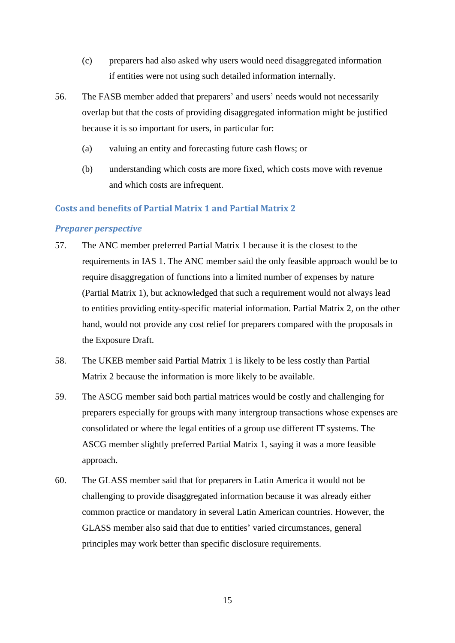- (c) preparers had also asked why users would need disaggregated information if entities were not using such detailed information internally.
- <span id="page-14-0"></span>56. The FASB member added that preparers' and users' needs would not necessarily overlap but that the costs of providing disaggregated information might be justified because it is so important for users, in particular for:
	- (a) valuing an entity and forecasting future cash flows; or
	- (b) understanding which costs are more fixed, which costs move with revenue and which costs are infrequent.

### **Costs and benefits of Partial Matrix 1 and Partial Matrix 2**

### *Preparer perspective*

- <span id="page-14-1"></span>57. The ANC member preferred Partial Matrix 1 because it is the closest to the requirements in IAS 1. The ANC member said the only feasible approach would be to require disaggregation of functions into a limited number of expenses by nature (Partial Matrix 1), but acknowledged that such a requirement would not always lead to entities providing entity-specific material information. Partial Matrix 2, on the other hand, would not provide any cost relief for preparers compared with the proposals in the Exposure Draft.
- 58. The UKEB member said Partial Matrix 1 is likely to be less costly than Partial Matrix 2 because the information is more likely to be available.
- 59. The ASCG member said both partial matrices would be costly and challenging for preparers especially for groups with many intergroup transactions whose expenses are consolidated or where the legal entities of a group use different IT systems. The ASCG member slightly preferred Partial Matrix 1, saying it was a more feasible approach.
- <span id="page-14-2"></span>60. The GLASS member said that for preparers in Latin America it would not be challenging to provide disaggregated information because it was already either common practice or mandatory in several Latin American countries. However, the GLASS member also said that due to entities' varied circumstances, general principles may work better than specific disclosure requirements.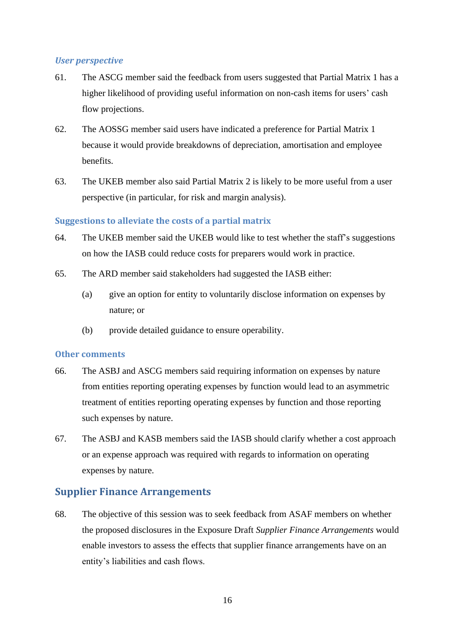## *User perspective*

- <span id="page-15-0"></span>61. The ASCG member said the feedback from users suggested that Partial Matrix 1 has a higher likelihood of providing useful information on non-cash items for users' cash flow projections.
- 62. The AOSSG member said users have indicated a preference for Partial Matrix 1 because it would provide breakdowns of depreciation, amortisation and employee benefits.
- <span id="page-15-1"></span>63. The UKEB member also said Partial Matrix 2 is likely to be more useful from a user perspective (in particular, for risk and margin analysis).

## **Suggestions to alleviate the costs of a partial matrix**

- <span id="page-15-2"></span>64. The UKEB member said the UKEB would like to test whether the staff's suggestions on how the IASB could reduce costs for preparers would work in practice.
- <span id="page-15-3"></span>65. The ARD member said stakeholders had suggested the IASB either:
	- (a) give an option for entity to voluntarily disclose information on expenses by nature; or
	- (b) provide detailed guidance to ensure operability.

## **Other comments**

- <span id="page-15-4"></span>66. The ASBJ and ASCG members said requiring information on expenses by nature from entities reporting operating expenses by function would lead to an asymmetric treatment of entities reporting operating expenses by function and those reporting such expenses by nature.
- <span id="page-15-5"></span>67. The ASBJ and KASB members said the IASB should clarify whether a cost approach or an expense approach was required with regards to information on operating expenses by nature.

# **Supplier Finance Arrangements**

68. The objective of this session was to seek feedback from ASAF members on whether the proposed disclosures in the Exposure Draft *Supplier Finance Arrangements* would enable investors to assess the effects that supplier finance arrangements have on an entity's liabilities and cash flows.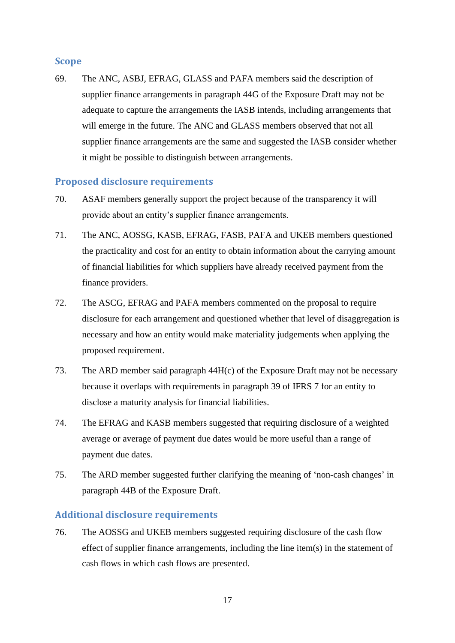## **Scope**

69. The ANC, ASBJ, EFRAG, GLASS and PAFA members said the description of supplier finance arrangements in paragraph 44G of the Exposure Draft may not be adequate to capture the arrangements the IASB intends, including arrangements that will emerge in the future. The ANC and GLASS members observed that not all supplier finance arrangements are the same and suggested the IASB consider whether it might be possible to distinguish between arrangements.

## **Proposed disclosure requirements**

- 70. ASAF members generally support the project because of the transparency it will provide about an entity's supplier finance arrangements.
- 71. The ANC, AOSSG, KASB, EFRAG, FASB, PAFA and UKEB members questioned the practicality and cost for an entity to obtain information about the carrying amount of financial liabilities for which suppliers have already received payment from the finance providers.
- 72. The ASCG, EFRAG and PAFA members commented on the proposal to require disclosure for each arrangement and questioned whether that level of disaggregation is necessary and how an entity would make materiality judgements when applying the proposed requirement.
- 73. The ARD member said paragraph 44H(c) of the Exposure Draft may not be necessary because it overlaps with requirements in paragraph 39 of IFRS 7 for an entity to disclose a maturity analysis for financial liabilities.
- 74. The EFRAG and KASB members suggested that requiring disclosure of a weighted average or average of payment due dates would be more useful than a range of payment due dates.
- 75. The ARD member suggested further clarifying the meaning of 'non-cash changes' in paragraph 44B of the Exposure Draft.

## **Additional disclosure requirements**

76. The AOSSG and UKEB members suggested requiring disclosure of the cash flow effect of supplier finance arrangements, including the line item(s) in the statement of cash flows in which cash flows are presented.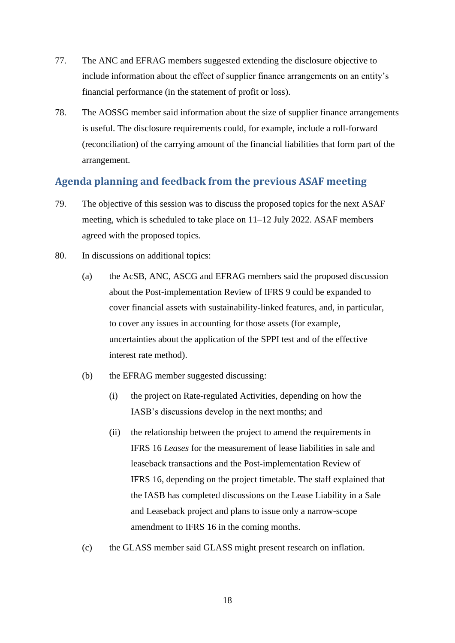- 77. The ANC and EFRAG members suggested extending the disclosure objective to include information about the effect of supplier finance arrangements on an entity's financial performance (in the statement of profit or loss).
- 78. The AOSSG member said information about the size of supplier finance arrangements is useful. The disclosure requirements could, for example, include a roll-forward (reconciliation) of the carrying amount of the financial liabilities that form part of the arrangement.

## **Agenda planning and feedback from the previous ASAF meeting**

- 79. The objective of this session was to discuss the proposed topics for the next ASAF meeting, which is scheduled to take place on 11–12 July 2022. ASAF members agreed with the proposed topics.
- 80. In discussions on additional topics:
	- (a) the AcSB, ANC, ASCG and EFRAG members said the proposed discussion about the Post-implementation Review of IFRS 9 could be expanded to cover financial assets with sustainability-linked features, and, in particular, to cover any issues in accounting for those assets (for example, uncertainties about the application of the SPPI test and of the effective interest rate method).
	- (b) the EFRAG member suggested discussing:
		- (i) the project on Rate-regulated Activities, depending on how the IASB's discussions develop in the next months; and
		- (ii) the relationship between the project to amend the requirements in IFRS 16 *Leases* for the measurement of lease liabilities in sale and leaseback transactions and the Post-implementation Review of IFRS 16, depending on the project timetable. The staff explained that the IASB has completed discussions on the Lease Liability in a Sale and Leaseback project and plans to issue only a narrow-scope amendment to IFRS 16 in the coming months.
	- (c) the GLASS member said GLASS might present research on inflation.